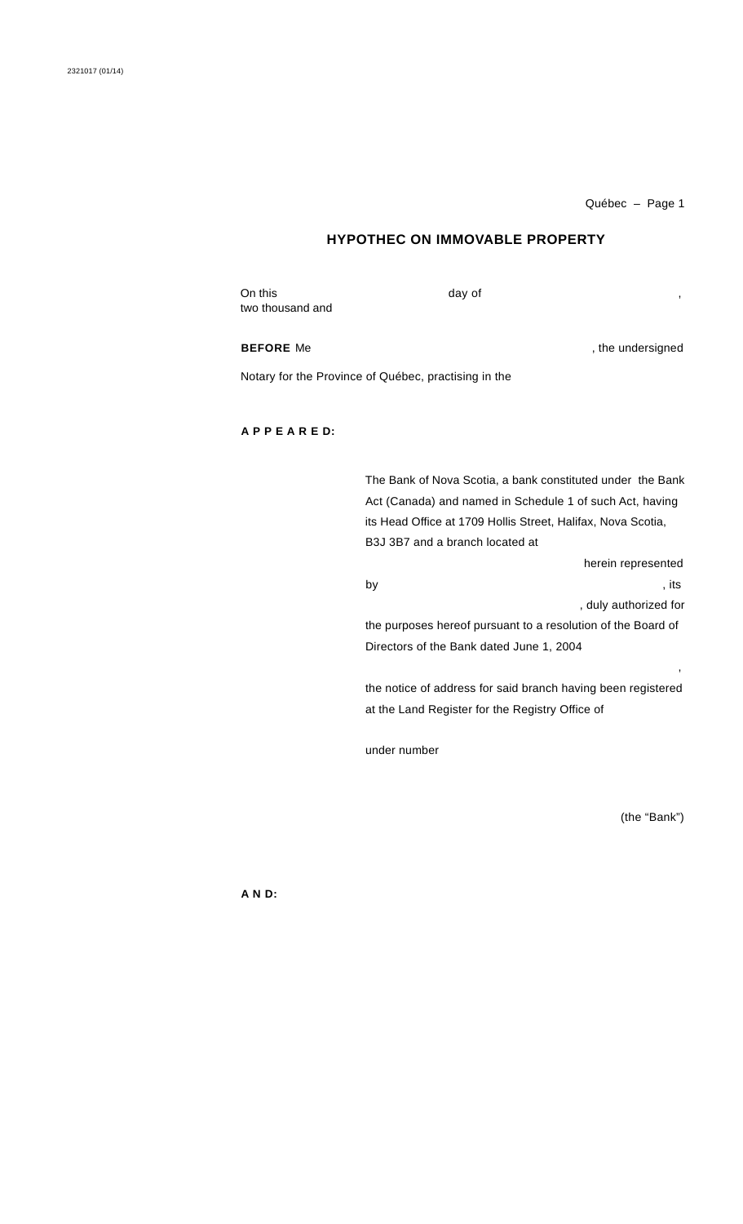# **HYPOTHEC ON IMMOVABLE PROPERTY**

On this two thousand and day of

**BEFORE** Me , the undersigned

Notary for the Province of Québec, practising in the

# **A P P E A R E D:**

The Bank of Nova Scotia, a bank constituted under the Bank Act (Canada) and named in Schedule 1 of such Act, having its Head Office at 1709 Hollis Street, Halifax, Nova Scotia, B3J 3B7 and a branch located at herein represented by the contract of the contract of the contract of the contract of the contract of the contract of the contract of the contract of the contract of the contract of the contract of the contract of the contract of the contrac , duly authorized for the purposes hereof pursuant to a resolution of the Board of Directors of the Bank dated June 1, 2004 , the notice of address for said branch having been registered at the Land Register for the Registry Office of

under number

(the "Bank")

**A N D:**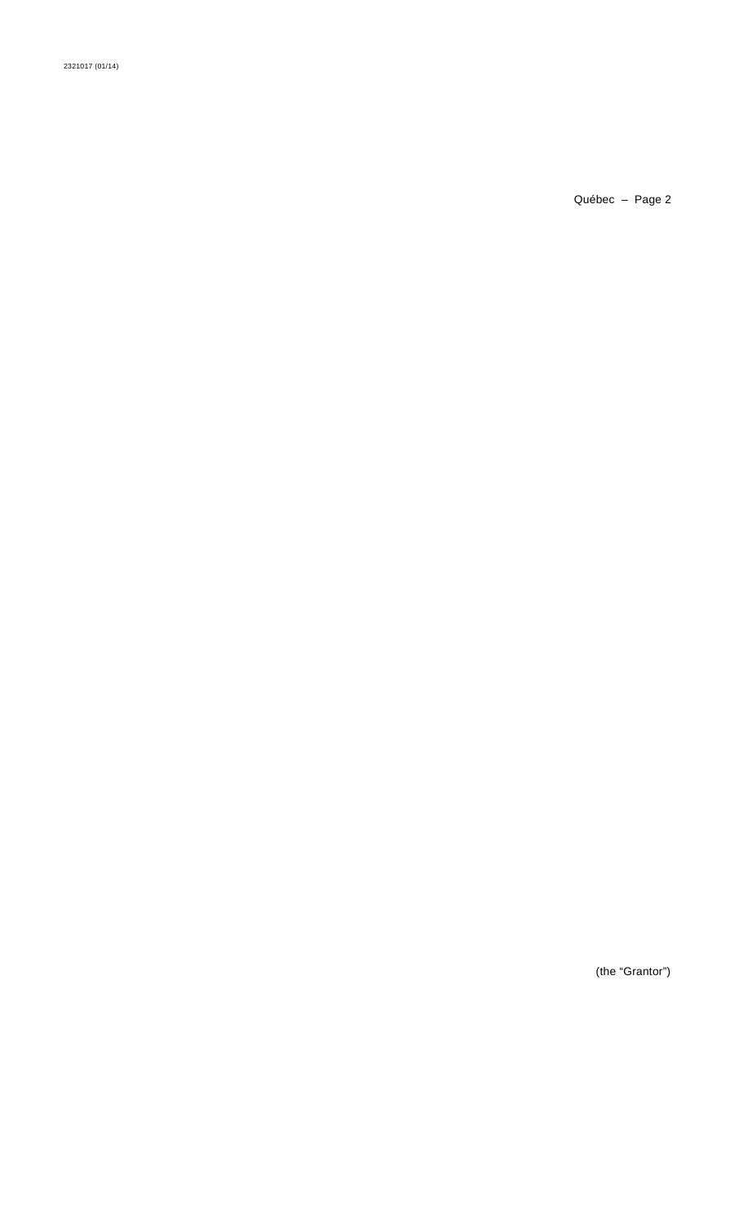2321017 (01/14)

(the "Grantor")

Québec - Page 2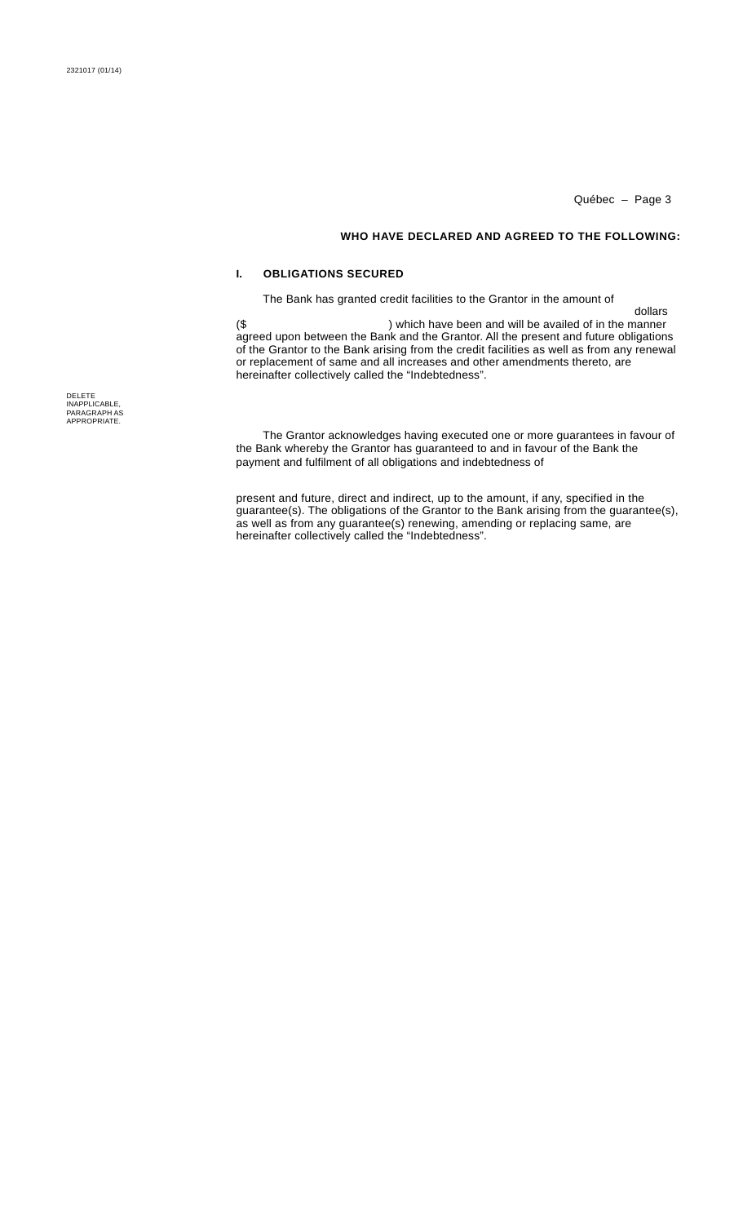dollars

### **WHO HAVE DECLARED AND AGREED TO THE FOLLOWING:**

# **I. OBLIGATIONS SECURED**

The Bank has granted credit facilities to the Grantor in the amount of

(\$ agreed upon between the Bank and the Grantor. All the present and future obligations of the Grantor to the Bank arising from the credit facilities as well as from any renewal or replacement of same and all increases and other amendments thereto, are hereinafter collectively called the "Indebtedness". ) which have been and will be availed of in the manner

The Grantor acknowledges having executed one or more guarantees in favour of the Bank whereby the Grantor has guaranteed to and in favour of the Bank the payment and fulfilment of all obligations and indebtedness of

present and future, direct and indirect, up to the amount, if any, specified in the guarantee(s). The obligations of the Grantor to the Bank arising from the guarantee(s), as well as from any guarantee(s) renewing, amending or replacing same, are hereinafter collectively called the "Indebtedness".

DELETE INAPPLICABLE, PARAGRAPH AS APPROPRIATE.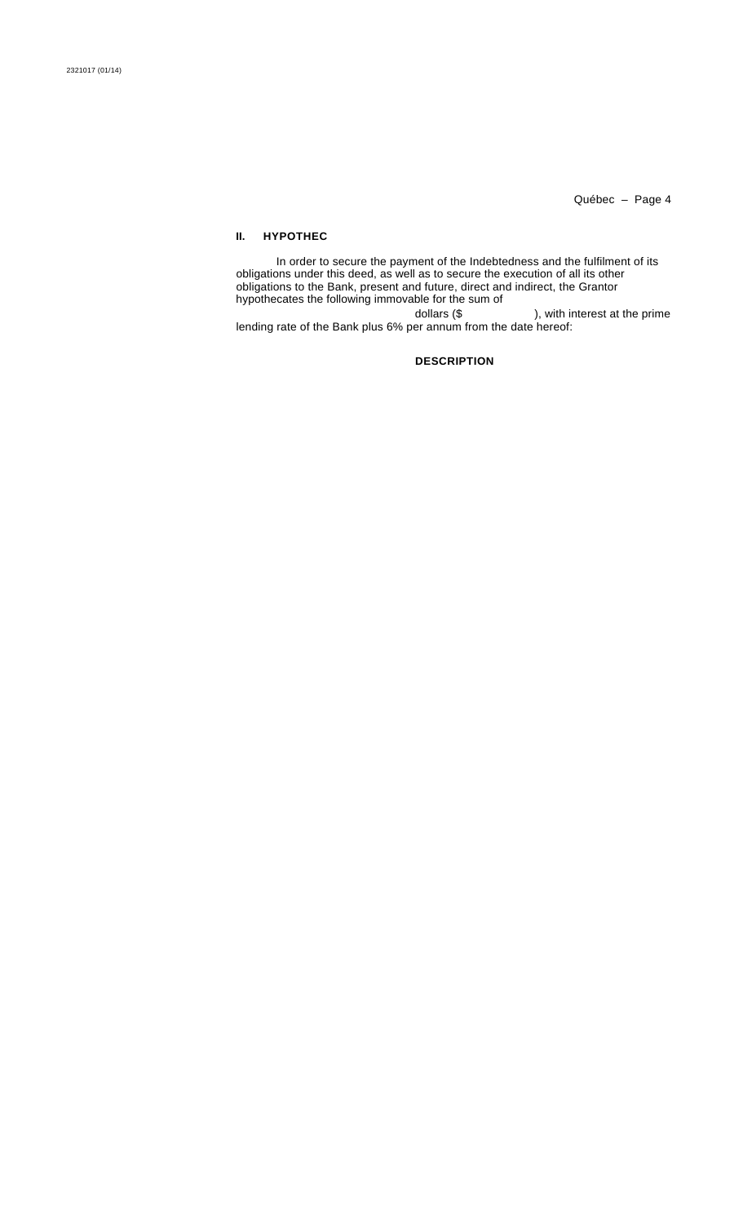## **II. HYPOTHEC**

In order to secure the payment of the Indebtedness and the fulfilment of its obligations under this deed, as well as to secure the execution of all its other obligations to the Bank, present and future, direct and indirect, the Grantor hypothecates the following immovable for the sum of dollars (\$ ), with interest at the prime lending rate of the Bank plus 6% per annum from the date hereof:

# **DESCRIPTION**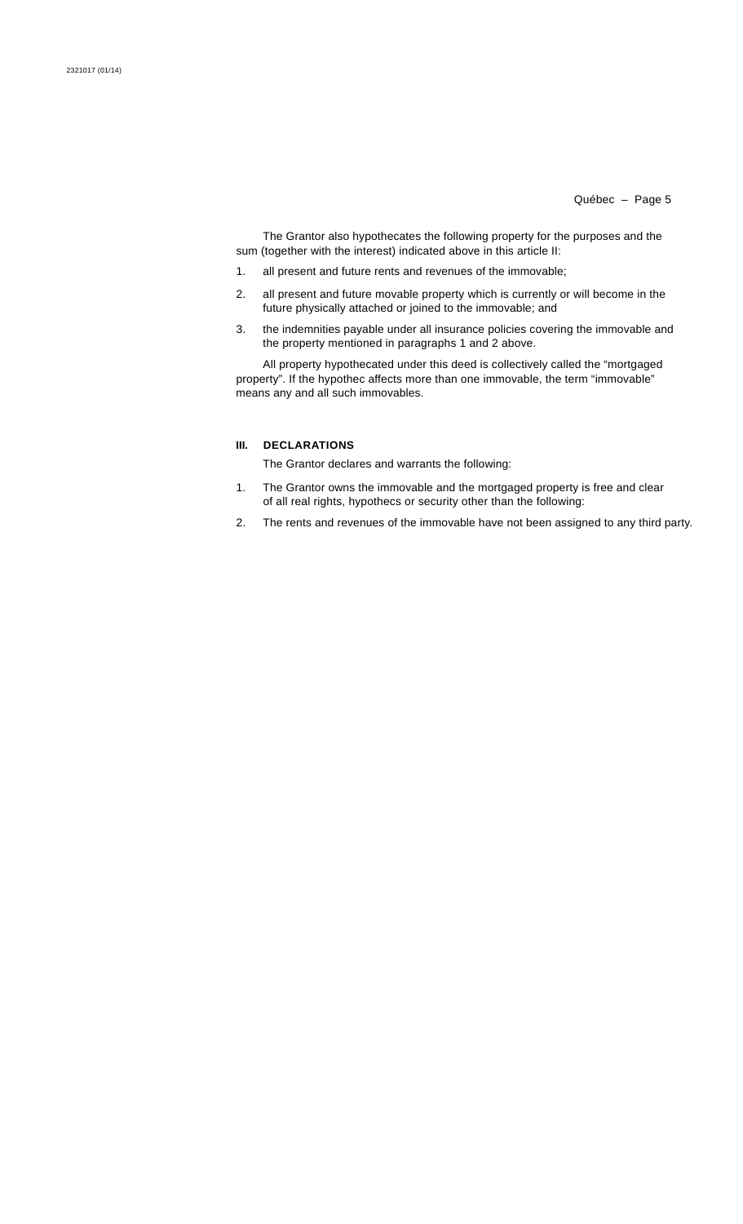The Grantor also hypothecates the following property for the purposes and the sum (together with the interest) indicated above in this article II:

- 1. all present and future rents and revenues of the immovable;
- 2. all present and future movable property which is currently or will become in the future physically attached or joined to the immovable; and
- 3. the indemnities payable under all insurance policies covering the immovable and the property mentioned in paragraphs 1 and 2 above.

All property hypothecated under this deed is collectively called the "mortgaged property". If the hypothec affects more than one immovable, the term "immovable" means any and all such immovables.

# **III. DECLARATIONS**

The Grantor declares and warrants the following:

- 1. The Grantor owns the immovable and the mortgaged property is free and clear of all real rights, hypothecs or security other than the following:
- 2. The rents and revenues of the immovable have not been assigned to any third party.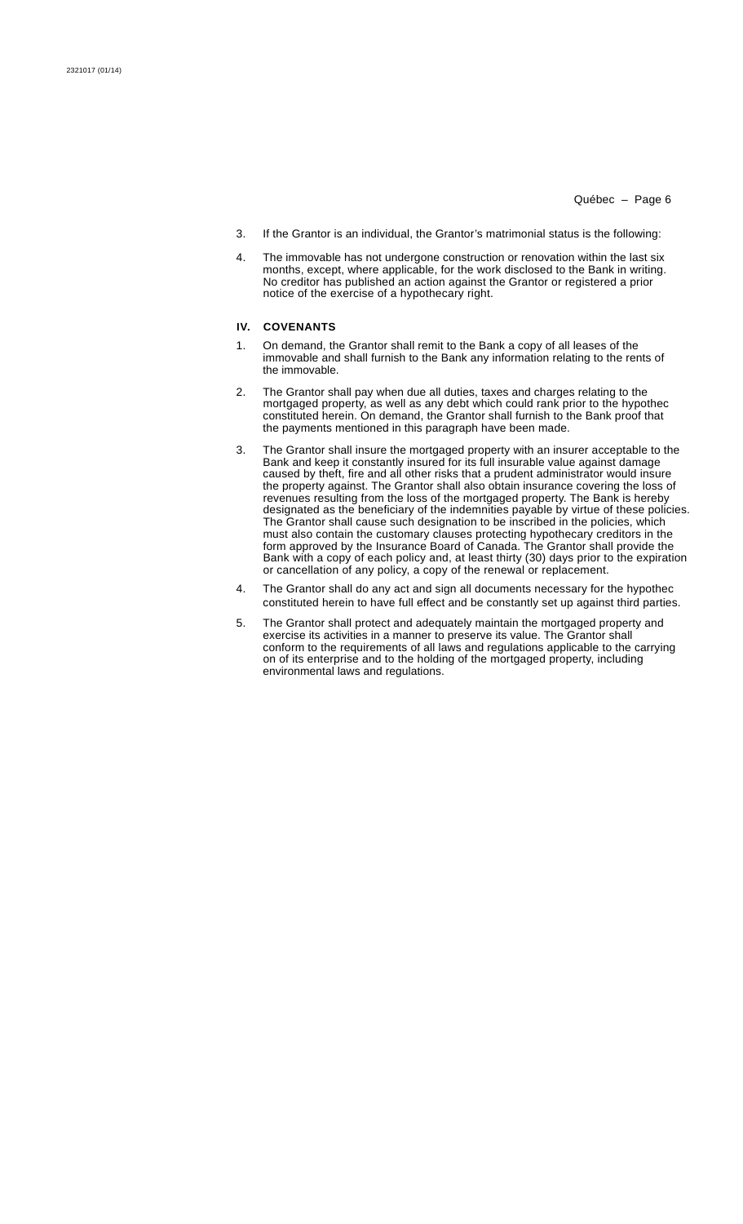- 3. If the Grantor is an individual, the Grantor's matrimonial status is the following:
- 4. The immovable has not undergone construction or renovation within the last six months, except, where applicable, for the work disclosed to the Bank in writing. No creditor has published an action against the Grantor or registered a prior notice of the exercise of a hypothecary right.

# **IV. COVENANTS**

- 1. On demand, the Grantor shall remit to the Bank a copy of all leases of the immovable and shall furnish to the Bank any information relating to the rents of the immovable.
- 2. The Grantor shall pay when due all duties, taxes and charges relating to the mortgaged property, as well as any debt which could rank prior to the hypothec constituted herein. On demand, the Grantor shall furnish to the Bank proof that the payments mentioned in this paragraph have been made.
- 3. The Grantor shall insure the mortgaged property with an insurer acceptable to the Bank and keep it constantly insured for its full insurable value against damage caused by theft, fire and all other risks that a prudent administrator would insure the property against. The Grantor shall also obtain insurance covering the loss of revenues resulting from the loss of the mortgaged property. The Bank is hereby designated as the beneficiary of the indemnities payable by virtue of these policies. The Grantor shall cause such designation to be inscribed in the policies, which must also contain the customary clauses protecting hypothecary creditors in the form approved by the Insurance Board of Canada. The Grantor shall provide the Bank with a copy of each policy and, at least thirty (30) days prior to the expiration or cancellation of any policy, a copy of the renewal or replacement.
- 4. The Grantor shall do any act and sign all documents necessary for the hypothec constituted herein to have full effect and be constantly set up against third parties.
- 5. The Grantor shall protect and adequately maintain the mortgaged property and exercise its activities in a manner to preserve its value. The Grantor shall conform to the requirements of all laws and regulations applicable to the carrying on of its enterprise and to the holding of the mortgaged property, including environmental laws and regulations.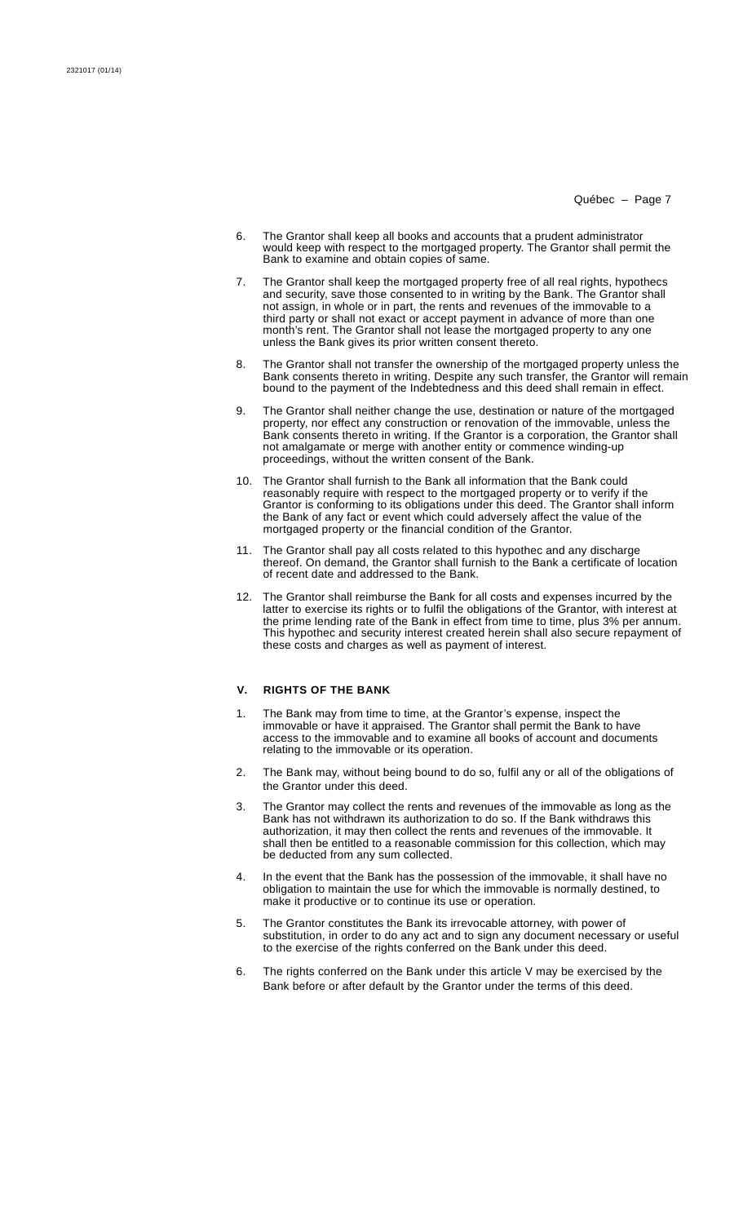- 6. The Grantor shall keep all books and accounts that a prudent administrator would keep with respect to the mortgaged property. The Grantor shall permit the Bank to examine and obtain copies of same.
- 7. The Grantor shall keep the mortgaged property free of all real rights, hypothecs and security, save those consented to in writing by the Bank. The Grantor shall not assign, in whole or in part, the rents and revenues of the immovable to a third party or shall not exact or accept payment in advance of more than one month's rent. The Grantor shall not lease the mortgaged property to any one unless the Bank gives its prior written consent thereto.
- 8. The Grantor shall not transfer the ownership of the mortgaged property unless the Bank consents thereto in writing. Despite any such transfer, the Grantor will remain bound to the payment of the Indebtedness and this deed shall remain in effect.
- 9. The Grantor shall neither change the use, destination or nature of the mortgaged property, nor effect any construction or renovation of the immovable, unless the Bank consents thereto in writing. If the Grantor is a corporation, the Grantor shall not amalgamate or merge with another entity or commence winding-up proceedings, without the written consent of the Bank.
- 10. The Grantor shall furnish to the Bank all information that the Bank could reasonably require with respect to the mortgaged property or to verify if the Grantor is conforming to its obligations under this deed. The Grantor shall inform the Bank of any fact or event which could adversely affect the value of the mortgaged property or the financial condition of the Grantor.
- 11. The Grantor shall pay all costs related to this hypothec and any discharge thereof. On demand, the Grantor shall furnish to the Bank a certificate of location of recent date and addressed to the Bank.
- 12. The Grantor shall reimburse the Bank for all costs and expenses incurred by the latter to exercise its rights or to fulfil the obligations of the Grantor, with interest at the prime lending rate of the Bank in effect from time to time, plus 3% per annum. This hypothec and security interest created herein shall also secure repayment of these costs and charges as well as payment of interest.

### **V. RIGHTS OF THE BANK**

- 1. The Bank may from time to time, at the Grantor's expense, inspect the immovable or have it appraised. The Grantor shall permit the Bank to have access to the immovable and to examine all books of account and documents relating to the immovable or its operation.
- 2. The Bank may, without being bound to do so, fulfil any or all of the obligations of the Grantor under this deed.
- 3. The Grantor may collect the rents and revenues of the immovable as long as the Bank has not withdrawn its authorization to do so. If the Bank withdraws this authorization, it may then collect the rents and revenues of the immovable. It shall then be entitled to a reasonable commission for this collection, which may be deducted from any sum collected.
- 4. In the event that the Bank has the possession of the immovable, it shall have no obligation to maintain the use for which the immovable is normally destined, to make it productive or to continue its use or operation.
- 5. The Grantor constitutes the Bank its irrevocable attorney, with power of substitution, in order to do any act and to sign any document necessary or useful to the exercise of the rights conferred on the Bank under this deed.
- 6. The rights conferred on the Bank under this article V may be exercised by the Bank before or after default by the Grantor under the terms of this deed.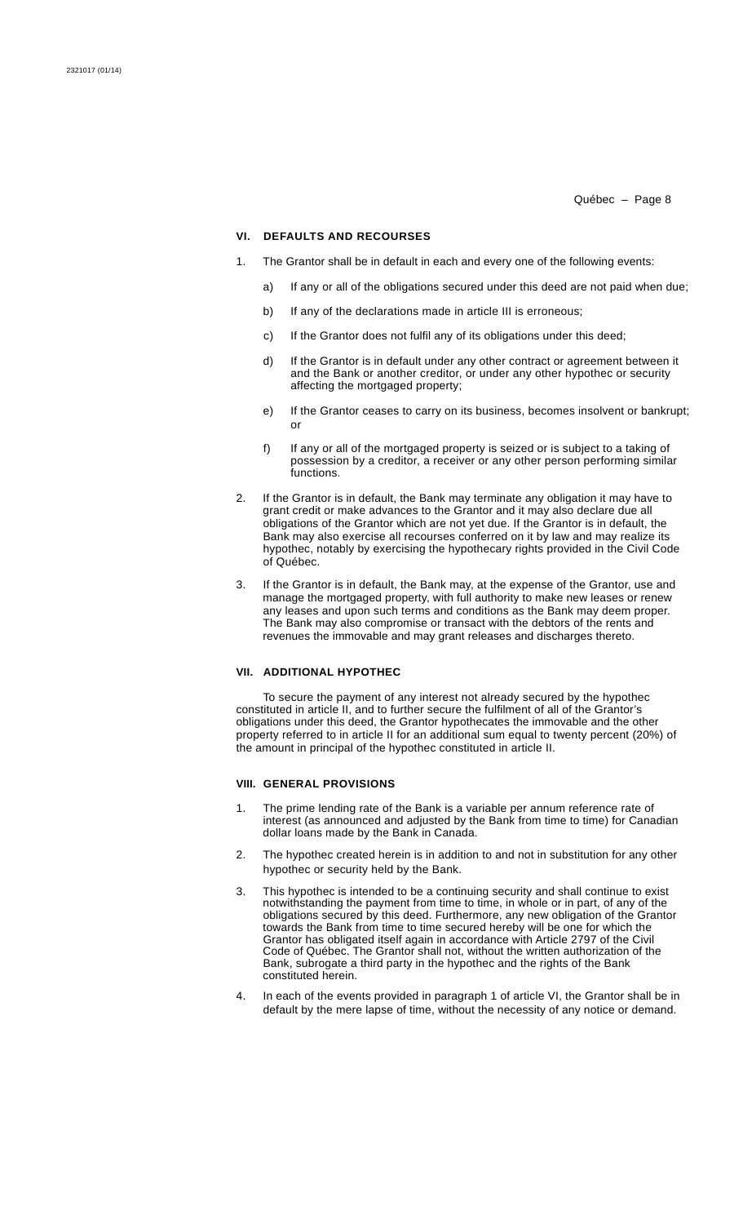### **VI. DEFAULTS AND RECOURSES**

- 1. The Grantor shall be in default in each and every one of the following events:
	- a) If any or all of the obligations secured under this deed are not paid when due;
	- b) If any of the declarations made in article III is erroneous:
	- c) If the Grantor does not fulfil any of its obligations under this deed;
	- d) If the Grantor is in default under any other contract or agreement between it and the Bank or another creditor, or under any other hypothec or security affecting the mortgaged property;
	- e) If the Grantor ceases to carry on its business, becomes insolvent or bankrupt; or
	- f) If any or all of the mortgaged property is seized or is subject to a taking of possession by a creditor, a receiver or any other person performing similar functions.
- 2. If the Grantor is in default, the Bank may terminate any obligation it may have to grant credit or make advances to the Grantor and it may also declare due all obligations of the Grantor which are not yet due. If the Grantor is in default, the Bank may also exercise all recourses conferred on it by law and may realize its hypothec, notably by exercising the hypothecary rights provided in the Civil Code of Québec.
- 3. If the Grantor is in default, the Bank may, at the expense of the Grantor, use and manage the mortgaged property, with full authority to make new leases or renew any leases and upon such terms and conditions as the Bank may deem proper. The Bank may also compromise or transact with the debtors of the rents and revenues the immovable and may grant releases and discharges thereto.

### **VII. ADDITIONAL HYPOTHEC**

To secure the payment of any interest not already secured by the hypothec constituted in article II, and to further secure the fulfilment of all of the Grantor's obligations under this deed, the Grantor hypothecates the immovable and the other property referred to in article II for an additional sum equal to twenty percent (20%) of the amount in principal of the hypothec constituted in article II.

### **VIII. GENERAL PROVISIONS**

- 1. The prime lending rate of the Bank is a variable per annum reference rate of interest (as announced and adjusted by the Bank from time to time) for Canadian dollar loans made by the Bank in Canada.
- 2. The hypothec created herein is in addition to and not in substitution for any other hypothec or security held by the Bank.
- 3. This hypothec is intended to be a continuing security and shall continue to exist notwithstanding the payment from time to time, in whole or in part, of any of the obligations secured by this deed. Furthermore, any new obligation of the Grantor towards the Bank from time to time secured hereby will be one for which the Grantor has obligated itself again in accordance with Article 2797 of the Civil Code of Québec. The Grantor shall not, without the written authorization of the Bank, subrogate a third party in the hypothec and the rights of the Bank constituted herein.
- 4. In each of the events provided in paragraph 1 of article VI, the Grantor shall be in default by the mere lapse of time, without the necessity of any notice or demand.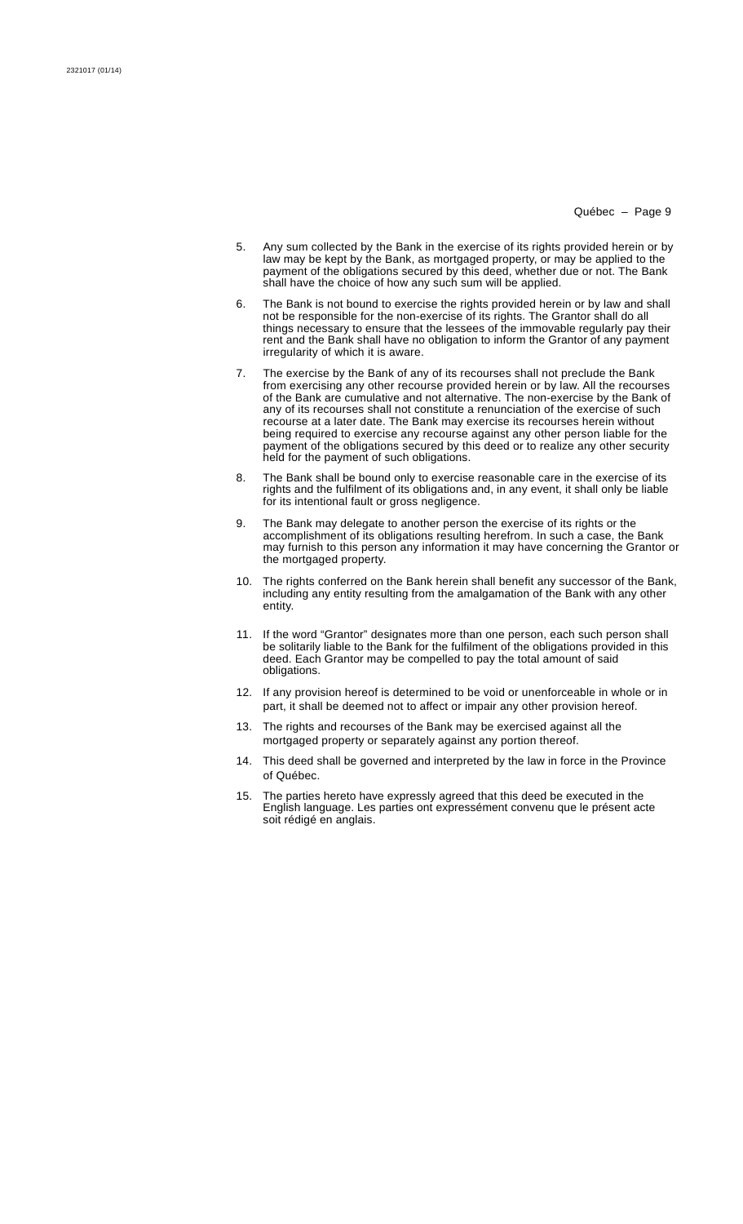- 5. Any sum collected by the Bank in the exercise of its rights provided herein or by law may be kept by the Bank, as mortgaged property, or may be applied to the payment of the obligations secured by this deed, whether due or not. The Bank shall have the choice of how any such sum will be applied.
- 6. The Bank is not bound to exercise the rights provided herein or by law and shall not be responsible for the non-exercise of its rights. The Grantor shall do all things necessary to ensure that the lessees of the immovable regularly pay their rent and the Bank shall have no obligation to inform the Grantor of any payment irregularity of which it is aware.
- 7. The exercise by the Bank of any of its recourses shall not preclude the Bank from exercising any other recourse provided herein or by law. All the recourses of the Bank are cumulative and not alternative. The non-exercise by the Bank of any of its recourses shall not constitute a renunciation of the exercise of such recourse at a later date. The Bank may exercise its recourses herein without being required to exercise any recourse against any other person liable for the payment of the obligations secured by this deed or to realize any other security held for the payment of such obligations.
- 8. The Bank shall be bound only to exercise reasonable care in the exercise of its rights and the fulfilment of its obligations and, in any event, it shall only be liable for its intentional fault or gross negligence.
- 9. The Bank may delegate to another person the exercise of its rights or the accomplishment of its obligations resulting herefrom. In such a case, the Bank may furnish to this person any information it may have concerning the Grantor or the mortgaged property.
- 10. The rights conferred on the Bank herein shall benefit any successor of the Bank, including any entity resulting from the amalgamation of the Bank with any other entity.
- 11. If the word "Grantor" designates more than one person, each such person shall be solitarily liable to the Bank for the fulfilment of the obligations provided in this deed. Each Grantor may be compelled to pay the total amount of said obligations.
- 12. If any provision hereof is determined to be void or unenforceable in whole or in part, it shall be deemed not to affect or impair any other provision hereof.
- 13. The rights and recourses of the Bank may be exercised against all the mortgaged property or separately against any portion thereof.
- 14. This deed shall be governed and interpreted by the law in force in the Province of Québec.
- 15. The parties hereto have expressly agreed that this deed be executed in the English language. Les parties ont expressément convenu que le présent acte soit rédigé en anglais.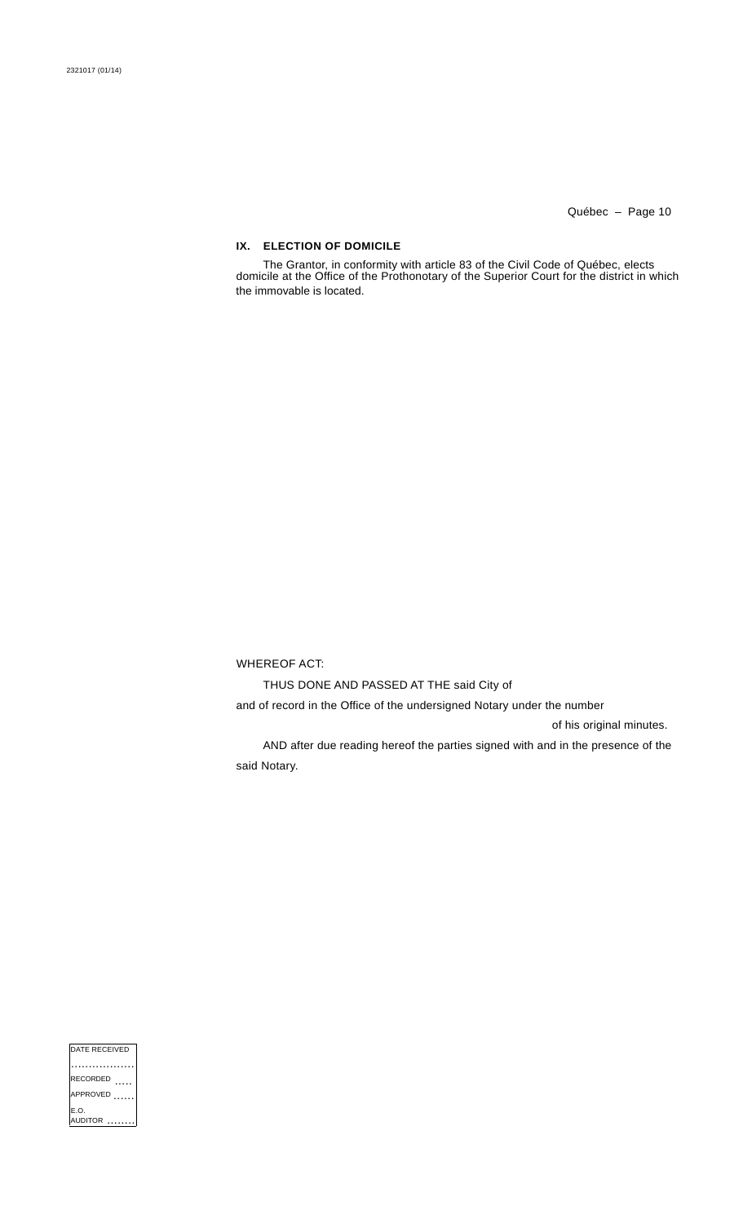# **IX. ELECTION OF DOMICILE**

The Grantor, in conformity with article 83 of the Civil Code of Québec, elects domicile at the Office of the Prothonotary of the Superior Court for the district in which the immovable is located.

WHEREOF ACT:

THUS DONE AND PASSED AT THE said City of

and of record in the Office of the undersigned Notary under the number

of his original minutes.

AND after due reading hereof the parties signed with and in the presence of the said Notary.

| DATE RECEIVED         |
|-----------------------|
|                       |
| <b>RECORDED</b>       |
| APPROVED              |
| E.O.<br><b>JDITOR</b> |